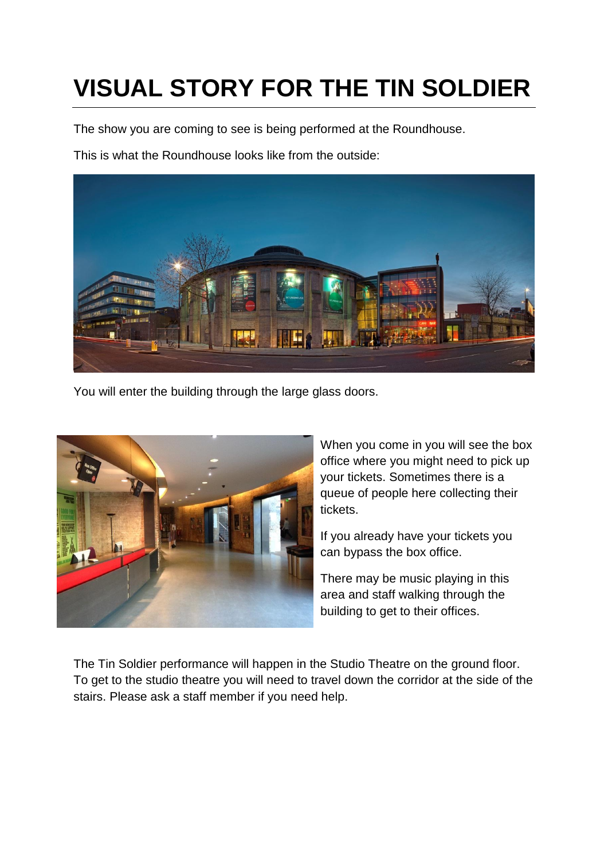## **VISUAL STORY FOR THE TIN SOLDIER**

The show you are coming to see is being performed at the Roundhouse.

This is what the Roundhouse looks like from the outside:



You will enter the building through the large glass doors.



When you come in you will see the box office where you might need to pick up your tickets. Sometimes there is a queue of people here collecting their tickets.

If you already have your tickets you can bypass the box office.

There may be music playing in this area and staff walking through the building to get to their offices.

The Tin Soldier performance will happen in the Studio Theatre on the ground floor. To get to the studio theatre you will need to travel down the corridor at the side of the stairs. Please ask a staff member if you need help.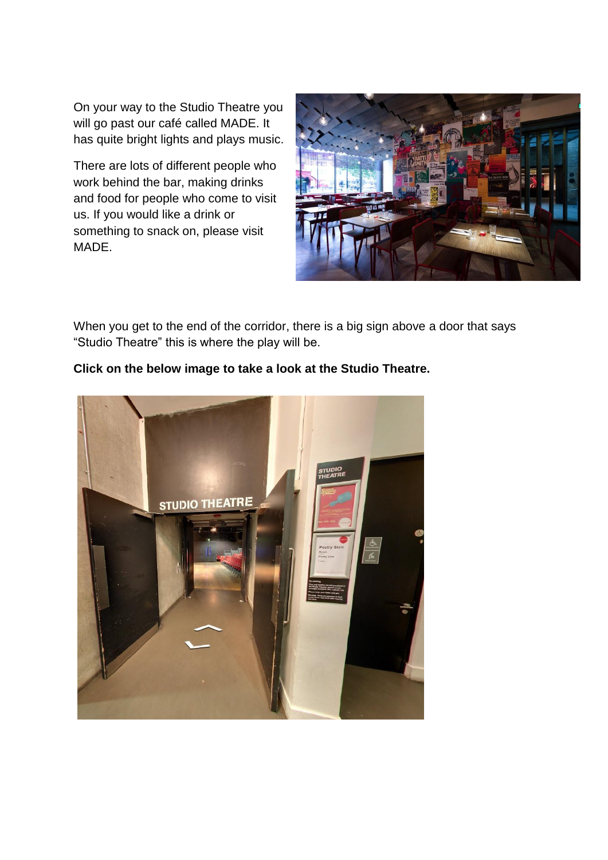On your way to the Studio Theatre you will go past our café called MADE. It has quite bright lights and plays music.

There are lots of different people who work behind the bar, making drinks and food for people who come to visit us. If you would like a drink or something to snack on, please visit MADE.



When you get to the end of the corridor, there is a big sign above a door that says "Studio Theatre" this is where the play will be.

## **Click on the below image to take a look at the Studio Theatre.**

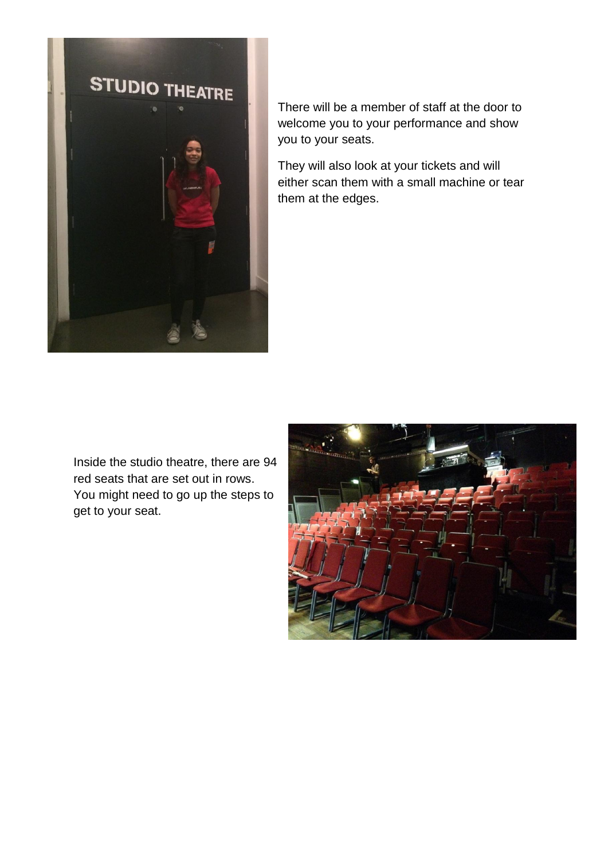

There will be a member of staff at the door to welcome you to your performance and show you to your seats.

They will also look at your tickets and will either scan them with a small machine or tear them at the edges.

Inside the studio theatre, there are 94 red seats that are set out in rows. You might need to go up the steps to get to your seat.